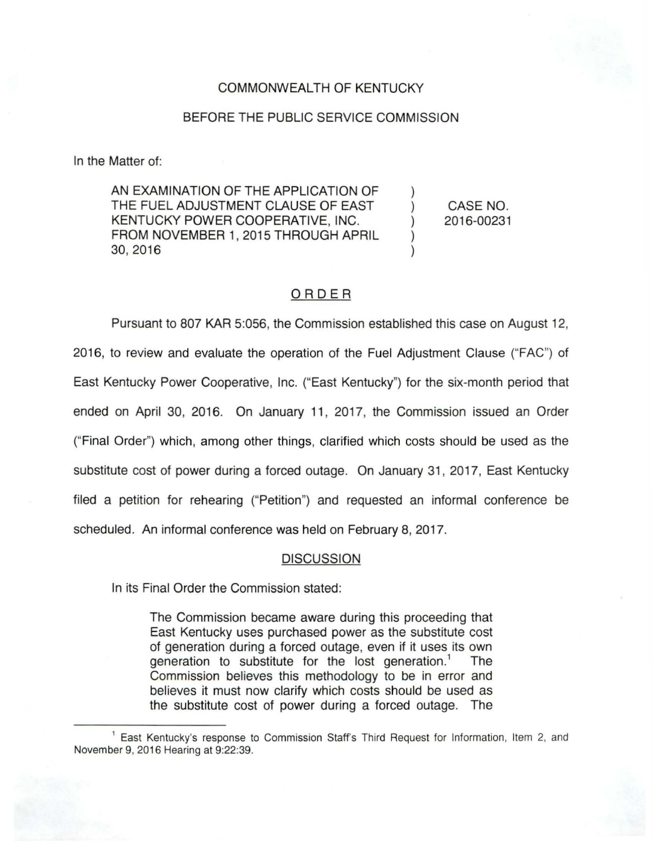## COMMONWEALTH OF KENTUCKY

## BEFORE THE PUBLIC SERVICE COMMISSION

In the Matter of:

AN EXAMINATION OF THE APPLICATION OF THE FUEL ADJUSTMENT CLAUSE OF EAST KENTUCKY POWER COOPERATIVE, INC. FROM NOVEMBER 1, 2015 THROUGH APRIL 30,2016

CASE NO. 2016-00231

## ORDER

Pursuant to 807 KAR 5:056, the Commission established this case on August 12, 2016, to review and evaluate the operation of the Fuel Adjustment Clause ("FAC") of East Kentucky Power Cooperative, Inc. ("East Kentucky") for the six-month period that ended on April 30, 2016. On January 11 , 2017, the Commission issued an Order ("Final Order") which, among other things, clarified which costs should be used as the substitute cost of power during a forced outage. On January 31 , 2017, East Kentucky filed a petition for rehearing ("Petition") and requested an informal conference be scheduled. An informal conference was held on February 8, 2017.

## **DISCUSSION**

In its Final Order the Commission stated:

The Commission became aware during this proceeding that East Kentucky uses purchased power as the substitute cost of generation during a forced outage, even if it uses its own generation to substitute for the lost generation.<sup>1</sup> The Commission believes this methodology to be in error and believes it must now clarify which costs should be used as the substitute cost of power during a forced outage. The

<sup>&</sup>lt;sup>1</sup> East Kentucky's response to Commission Staff's Third Request for Information, Item 2, and November 9, 2016 Hearing at 9:22:39.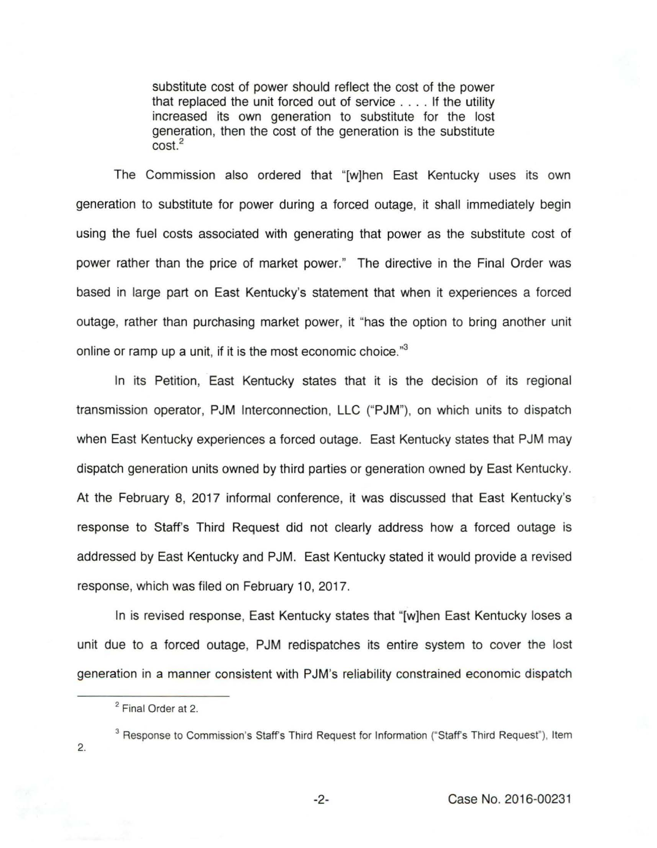substitute cost of power should reflect the cost of the power that replaced the unit forced out of service .... If the utility increased its own generation to substitute for the lost generation, then the cost of the generation is the substitute cost.<sup>2</sup>

The Commission also ordered that "[w]hen East Kentucky uses its own generation to substitute for power during a forced outage, it shall immediately begin using the fuel costs associated with generating that power as the substitute cost of power rather than the price of market power." The directive in the Final Order was based in large part on East Kentucky's statement that when it experiences a forced outage, rather than purchasing market power, it "has the option to bring another unit online or ramp up a unit, if it is the most economic choice."<sup>3</sup>

In its Petition, East Kentucky states that it is the decision of its regional transmission operator, PJM Interconnection, LLC ("PJM"), on which units to dispatch when East Kentucky experiences a forced outage. East Kentucky states that PJM may dispatch generation units owned by third parties or generation owned by East Kentucky. At the February 8, 2017 informal conference, it was discussed that East Kentucky's response to Staffs Third Request did not clearly address how a forced outage is addressed by East Kentucky and PJM. East Kentucky stated it would provide a revised response, which was filed on February 10, 2017.

In is revised response, East Kentucky states that "[w]hen East Kentucky loses a unit due to a forced outage, PJM redispatches its entire system to cover the lost generation in a manner consistent with PJM's reliability constrained economic dispatch

<sup>3</sup> Response to Commission's Staff's Third Request for Information ("Staff's Third Request"), Item

2.

<sup>&</sup>lt;sup>2</sup> Final Order at 2.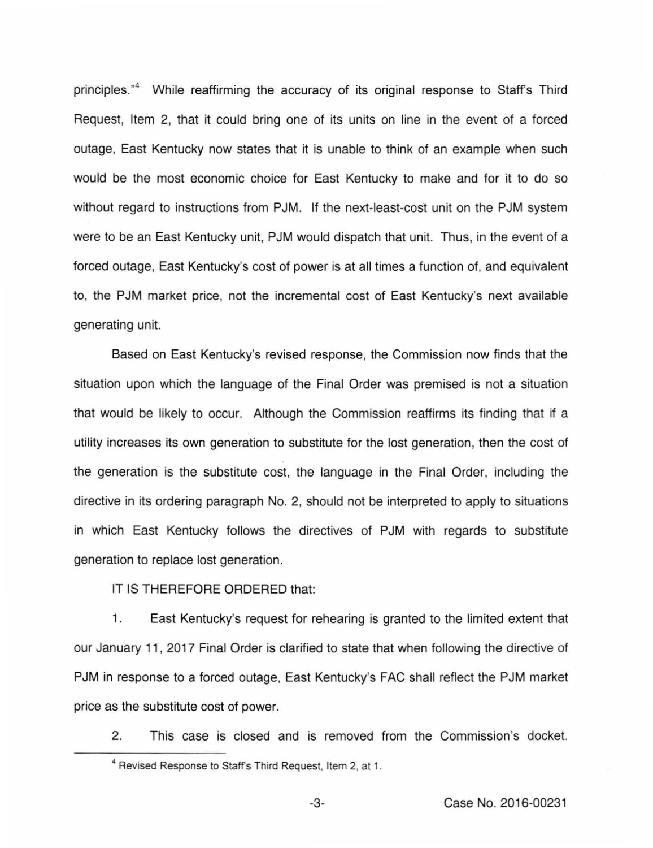principles."<sup>4</sup> While reaffirming the accuracy of its original response to Staff's Third Request, Item 2, that it could bring one of its units on line in the event of a forced outage, East Kentucky now states that it is unable to think of an example when such would be the most economic choice for East Kentucky to make and for it to do so without regard to instructions from PJM. If the next-least-cost unit on the PJM system were to be an East Kentucky unit, PJM would dispatch that unit. Thus, in the event of a forced outage, East Kentucky's cost of power is at all times a function of, and equivalent to, the PJM market price, not the incremental cost of East Kentucky's next available generating unit.

Based on East Kentucky's revised response, the Commission now finds that the situation upon which the language of the Final Order was premised is not a situation that would be likely to occur. Although the Commission reaffirms its finding that if a utility increases its own generation to substitute for the lost generation, then the cost of the generation is the substitute cost, the language in the Final Order, including the directive in its ordering paragraph No. 2, should not be interpreted to apply to situations in which East Kentucky follows the directives of PJM with regards to substitute generation to replace lost generation.

IT IS THEREFORE ORDERED that:

1. East Kentucky's request for rehearing is granted to the limited extent that our January 11 , 2017 Final Order is clarified to state that when following the directive of PJM in response to a forced outage, East Kentucky's FAC shall reflect the PJM market price as the substitute cost of power.

2. This case is closed and is removed from the Commission's docket.

<sup>&</sup>lt;sup>4</sup> Revised Response to Staff's Third Request, Item 2, at 1.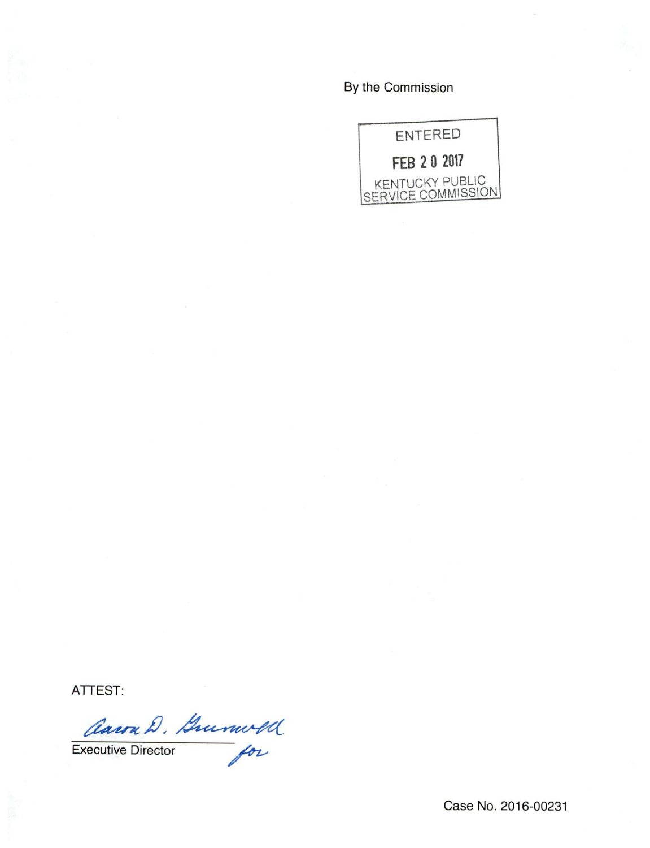By the Commission



ATTEST:

Anon D. Gumold

Case No. 2016-00231